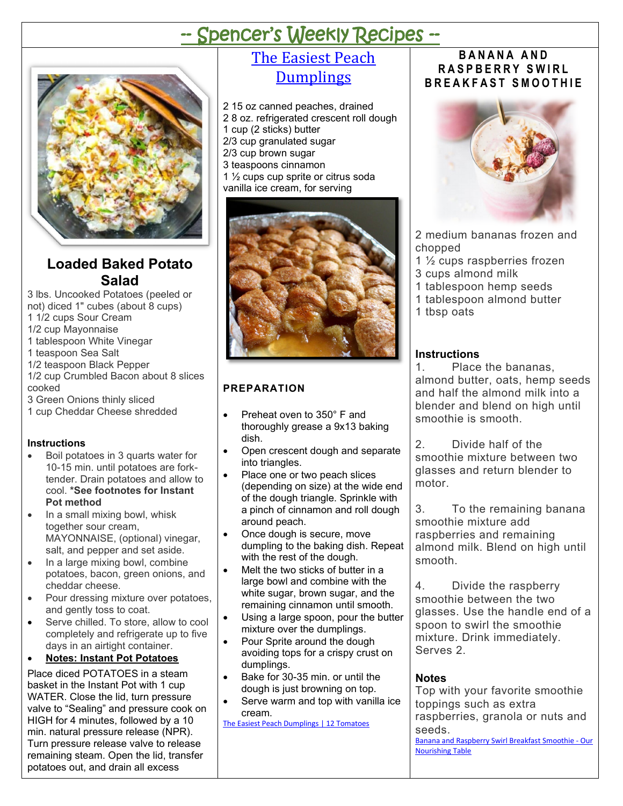# -- Spencer's Weekly Recipes --



## **Loaded Baked Potato Salad**

3 lbs. Uncooked Potatoes (peeled or not) diced 1" cubes (about 8 cups) 1 1/2 cups Sour Cream 1/2 cup Mayonnaise

- 1 tablespoon White Vinegar
- 1 teaspoon Sea Salt
- 1/2 teaspoon Black Pepper
- 1/2 cup Crumbled Bacon about 8 slices cooked
- 3 Green Onions thinly sliced
- 1 cup Cheddar Cheese shredded

#### **Instructions**

- Boil potatoes in 3 quarts water for 10-15 min. until potatoes are forktender. Drain potatoes and allow to cool. **\*See footnotes for Instant Pot method**
- In a small mixing bowl, whisk together sour cream, MAYONNAISE, (optional) vinegar, salt, and pepper and set aside.
- In a large mixing bowl, combine potatoes, bacon, green onions, and cheddar cheese.
- Pour dressing mixture over potatoes, and gently toss to coat.
- Serve chilled. To store, allow to cool completely and refrigerate up to five days in an airtight container.

#### • **Notes: Instant Pot Potatoes**

Place diced POTATOES in a [steam](https://amzn.to/3hcR8UJ)  [basket](https://amzn.to/3hcR8UJ) in the [Instant Pot](http://amzn.to/2hYFPSE) with 1 cup WATER. Close the lid, turn pressure valve to "Sealing" and pressure cook on HIGH for 4 minutes, followed by a 10 min. natural pressure release (NPR). Turn pressure release valve to release remaining steam. Open the lid, transfer potatoes out, and drain all excess

## [The Easiest Peach](https://12tomatoes.com/the-easiest-peach-dumplings/)  **[Dumplings](https://12tomatoes.com/the-easiest-peach-dumplings/)**

- 2 15 oz canned peaches, drained 2 8 oz. refrigerated crescent roll dough
- 1 cup (2 sticks) butter
- 2/3 cup granulated sugar
- 2/3 cup brown sugar
- 3 teaspoons cinnamon
- 1 ½ cups cup sprite or citrus soda vanilla ice cream, for serving



#### **PREPARATION**

- Preheat oven to 350° F and thoroughly grease a 9x13 baking dish.
- Open crescent dough and separate into triangles.
- Place one or two peach slices (depending on size) at the wide end of the dough triangle. Sprinkle with a pinch of cinnamon and roll dough around peach.
- Once dough is secure, move dumpling to the baking dish. Repeat with the rest of the dough.
- Melt the two sticks of butter in a large bowl and combine with the white sugar, brown sugar, and the remaining cinnamon until smooth.
- Using a large spoon, pour the butter mixture over the dumplings.
- Pour Sprite around the dough avoiding tops for a crispy crust on dumplings.
- Bake for 30-35 min. or until the dough is just browning on top.
- Serve warm and top with vanilla ice cream.

[The Easiest Peach Dumplings | 12 Tomatoes](https://12tomatoes.com/the-easiest-peach-dumplings/)

#### **BANANA AND RASPBERRY SWIRL BREAKFAST SMOOTHIE**



2 medium bananas frozen and chopped

- 1 ½ cups raspberries frozen
- 3 cups almond milk
- 1 tablespoon hemp seeds
- 1 tablespoon almond butter
- 1 tbsp oats

#### **Instructions**

1. Place the bananas, almond butter, oats, hemp seeds and half the almond milk into a blender and blend on high until smoothie is smooth.

2. Divide half of the smoothie mixture between two glasses and return blender to motor.

3. To the remaining banana smoothie mixture add raspberries and remaining almond milk. Blend on high until smooth.

4. Divide the raspberry smoothie between the two glasses. Use the handle end of a spoon to swirl the smoothie mixture. Drink immediately. Serves 2.

#### **Notes**

Top with your favorite smoothie toppings such as extra raspberries, granola or nuts and seeds. [Banana and Raspberry Swirl Breakfast Smoothie -](https://ournourishingtable.com/banana-and-raspberry-swirl-breakfast-smoothie/) Our [Nourishing Table](https://ournourishingtable.com/banana-and-raspberry-swirl-breakfast-smoothie/)